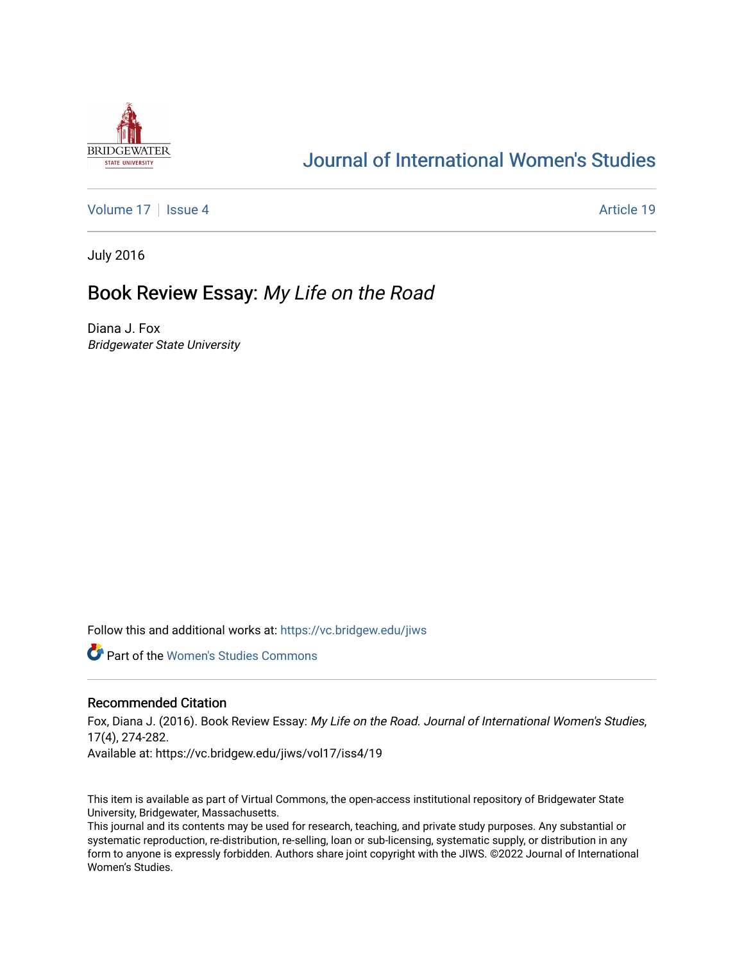

# [Journal of International Women's Studies](https://vc.bridgew.edu/jiws)

[Volume 17](https://vc.bridgew.edu/jiws/vol17) | [Issue 4](https://vc.bridgew.edu/jiws/vol17/iss4) Article 19

July 2016

## Book Review Essay: My Life on the Road

Diana J. Fox Bridgewater State University

Follow this and additional works at: [https://vc.bridgew.edu/jiws](https://vc.bridgew.edu/jiws?utm_source=vc.bridgew.edu%2Fjiws%2Fvol17%2Fiss4%2F19&utm_medium=PDF&utm_campaign=PDFCoverPages)

**C** Part of the Women's Studies Commons

### Recommended Citation

Fox, Diana J. (2016). Book Review Essay: My Life on the Road. Journal of International Women's Studies, 17(4), 274-282.

Available at: https://vc.bridgew.edu/jiws/vol17/iss4/19

This item is available as part of Virtual Commons, the open-access institutional repository of Bridgewater State University, Bridgewater, Massachusetts.

This journal and its contents may be used for research, teaching, and private study purposes. Any substantial or systematic reproduction, re-distribution, re-selling, loan or sub-licensing, systematic supply, or distribution in any form to anyone is expressly forbidden. Authors share joint copyright with the JIWS. ©2022 Journal of International Women's Studies.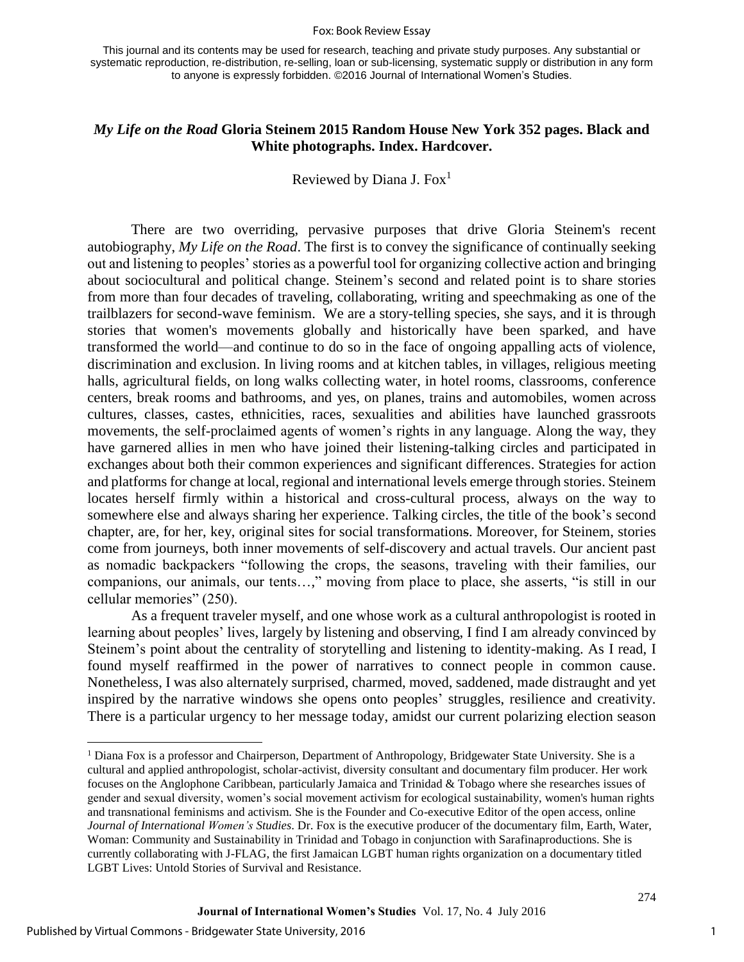#### Fox: Book Review Essay

This journal and its contents may be used for research, teaching and private study purposes. Any substantial or systematic reproduction, re-distribution, re-selling, loan or sub-licensing, systematic supply or distribution in any form to anyone is expressly forbidden. ©2016 Journal of International Women's Studies.

## *My Life on the Road* **Gloria Steinem 2015 Random House New York 352 pages. Black and White photographs. Index. Hardcover.**

Reviewed by Diana J.  $Fox<sup>1</sup>$ 

There are two overriding, pervasive purposes that drive Gloria Steinem's recent autobiography, *My Life on the Road*. The first is to convey the significance of continually seeking out and listening to peoples' stories as a powerful tool for organizing collective action and bringing about sociocultural and political change. Steinem's second and related point is to share stories from more than four decades of traveling, collaborating, writing and speechmaking as one of the trailblazers for second-wave feminism. We are a story-telling species, she says, and it is through stories that women's movements globally and historically have been sparked, and have transformed the world—and continue to do so in the face of ongoing appalling acts of violence, discrimination and exclusion. In living rooms and at kitchen tables, in villages, religious meeting halls, agricultural fields, on long walks collecting water, in hotel rooms, classrooms, conference centers, break rooms and bathrooms, and yes, on planes, trains and automobiles, women across cultures, classes, castes, ethnicities, races, sexualities and abilities have launched grassroots movements, the self-proclaimed agents of women's rights in any language. Along the way, they have garnered allies in men who have joined their listening-talking circles and participated in exchanges about both their common experiences and significant differences. Strategies for action and platforms for change at local, regional and international levels emerge through stories. Steinem locates herself firmly within a historical and cross-cultural process, always on the way to somewhere else and always sharing her experience. Talking circles, the title of the book's second chapter, are, for her, key, original sites for social transformations. Moreover, for Steinem, stories come from journeys, both inner movements of self-discovery and actual travels. Our ancient past as nomadic backpackers "following the crops, the seasons, traveling with their families, our companions, our animals, our tents…," moving from place to place, she asserts, "is still in our cellular memories" (250).

As a frequent traveler myself, and one whose work as a cultural anthropologist is rooted in learning about peoples' lives, largely by listening and observing, I find I am already convinced by Steinem's point about the centrality of storytelling and listening to identity-making. As I read, I found myself reaffirmed in the power of narratives to connect people in common cause. Nonetheless, I was also alternately surprised, charmed, moved, saddened, made distraught and yet inspired by the narrative windows she opens onto peoples' struggles, resilience and creativity. There is a particular urgency to her message today, amidst our current polarizing election season

 $\overline{\phantom{a}}$ 

<sup>1</sup> Diana Fox is a professor and Chairperson, Department of Anthropology, Bridgewater State University. She is a cultural and applied anthropologist, scholar-activist, diversity consultant and documentary film producer. Her work focuses on the Anglophone Caribbean, particularly Jamaica and Trinidad & Tobago where she researches issues of gender and sexual diversity, women's social movement activism for ecological sustainability, women's human rights and transnational feminisms and activism. She is the Founder and Co-executive Editor of the open access, online *Journal of International Women's Studies*. Dr. Fox is the executive producer of the documentary film, Earth, Water, Woman: Community and Sustainability in Trinidad and Tobago in conjunction with Sarafinaproductions. She is currently collaborating with J-FLAG, the first Jamaican LGBT human rights organization on a documentary titled LGBT Lives: Untold Stories of Survival and Resistance.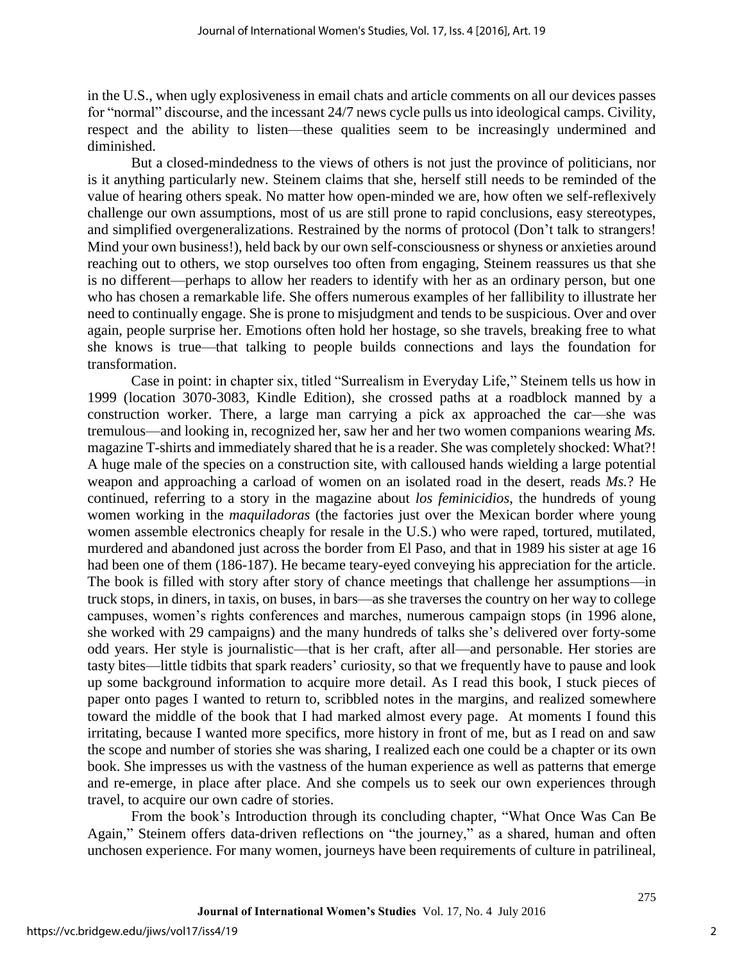in the U.S., when ugly explosiveness in email chats and article comments on all our devices passes for "normal" discourse, and the incessant 24/7 news cycle pulls us into ideological camps. Civility, respect and the ability to listen—these qualities seem to be increasingly undermined and diminished.

But a closed-mindedness to the views of others is not just the province of politicians, nor is it anything particularly new. Steinem claims that she, herself still needs to be reminded of the value of hearing others speak. No matter how open-minded we are, how often we self-reflexively challenge our own assumptions, most of us are still prone to rapid conclusions, easy stereotypes, and simplified overgeneralizations. Restrained by the norms of protocol (Don't talk to strangers! Mind your own business!), held back by our own self-consciousness or shyness or anxieties around reaching out to others, we stop ourselves too often from engaging, Steinem reassures us that she is no different—perhaps to allow her readers to identify with her as an ordinary person, but one who has chosen a remarkable life. She offers numerous examples of her fallibility to illustrate her need to continually engage. She is prone to misjudgment and tends to be suspicious. Over and over again, people surprise her. Emotions often hold her hostage, so she travels, breaking free to what she knows is true—that talking to people builds connections and lays the foundation for transformation.

Case in point: in chapter six, titled "Surrealism in Everyday Life," Steinem tells us how in 1999 (location 3070-3083, Kindle Edition), she crossed paths at a roadblock manned by a construction worker. There, a large man carrying a pick ax approached the car—she was tremulous—and looking in, recognized her, saw her and her two women companions wearing *Ms.* magazine T-shirts and immediately shared that he is a reader. She was completely shocked: What?! A huge male of the species on a construction site, with calloused hands wielding a large potential weapon and approaching a carload of women on an isolated road in the desert, reads *Ms.*? He continued, referring to a story in the magazine about *los feminicidios*, the hundreds of young women working in the *maquiladoras* (the factories just over the Mexican border where young women assemble electronics cheaply for resale in the U.S.) who were raped, tortured, mutilated, murdered and abandoned just across the border from El Paso, and that in 1989 his sister at age 16 had been one of them (186-187). He became teary-eyed conveying his appreciation for the article. The book is filled with story after story of chance meetings that challenge her assumptions—in truck stops, in diners, in taxis, on buses, in bars—as she traverses the country on her way to college campuses, women's rights conferences and marches, numerous campaign stops (in 1996 alone, she worked with 29 campaigns) and the many hundreds of talks she's delivered over forty-some odd years. Her style is journalistic—that is her craft, after all—and personable. Her stories are tasty bites—little tidbits that spark readers' curiosity, so that we frequently have to pause and look up some background information to acquire more detail. As I read this book, I stuck pieces of paper onto pages I wanted to return to, scribbled notes in the margins, and realized somewhere toward the middle of the book that I had marked almost every page. At moments I found this irritating, because I wanted more specifics, more history in front of me, but as I read on and saw the scope and number of stories she was sharing, I realized each one could be a chapter or its own book. She impresses us with the vastness of the human experience as well as patterns that emerge and re-emerge, in place after place. And she compels us to seek our own experiences through travel, to acquire our own cadre of stories.

From the book's Introduction through its concluding chapter, "What Once Was Can Be Again," Steinem offers data-driven reflections on "the journey," as a shared, human and often unchosen experience. For many women, journeys have been requirements of culture in patrilineal,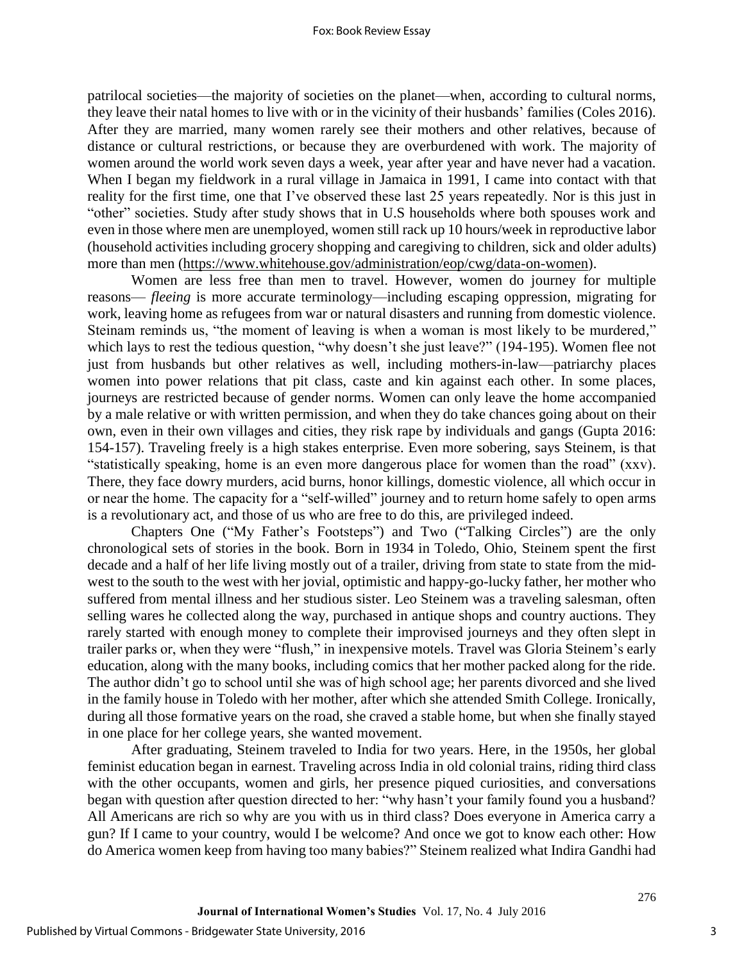#### Fox: Book Review Essay

patrilocal societies—the majority of societies on the planet—when, according to cultural norms, they leave their natal homes to live with or in the vicinity of their husbands' families (Coles 2016). After they are married, many women rarely see their mothers and other relatives, because of distance or cultural restrictions, or because they are overburdened with work. The majority of women around the world work seven days a week, year after year and have never had a vacation. When I began my fieldwork in a rural village in Jamaica in 1991, I came into contact with that reality for the first time, one that I've observed these last 25 years repeatedly. Nor is this just in "other" societies. Study after study shows that in U.S households where both spouses work and even in those where men are unemployed, women still rack up 10 hours/week in reproductive labor (household activities including grocery shopping and caregiving to children, sick and older adults) more than men [\(https://www.whitehouse.gov/administration/eop/cwg/data-on-women\)](https://www.whitehouse.gov/administration/eop/cwg/data-on-women).

Women are less free than men to travel. However, women do journey for multiple reasons— *fleeing* is more accurate terminology—including escaping oppression, migrating for work, leaving home as refugees from war or natural disasters and running from domestic violence. Steinam reminds us, "the moment of leaving is when a woman is most likely to be murdered," which lays to rest the tedious question, "why doesn't she just leave?" (194-195). Women flee not just from husbands but other relatives as well, including mothers-in-law—patriarchy places women into power relations that pit class, caste and kin against each other. In some places, journeys are restricted because of gender norms. Women can only leave the home accompanied by a male relative or with written permission, and when they do take chances going about on their own, even in their own villages and cities, they risk rape by individuals and gangs (Gupta 2016: 154-157). Traveling freely is a high stakes enterprise. Even more sobering, says Steinem, is that "statistically speaking, home is an even more dangerous place for women than the road" (xxv). There, they face dowry murders, acid burns, honor killings, domestic violence, all which occur in or near the home. The capacity for a "self-willed" journey and to return home safely to open arms is a revolutionary act, and those of us who are free to do this, are privileged indeed.

Chapters One ("My Father's Footsteps") and Two ("Talking Circles") are the only chronological sets of stories in the book. Born in 1934 in Toledo, Ohio, Steinem spent the first decade and a half of her life living mostly out of a trailer, driving from state to state from the midwest to the south to the west with her jovial, optimistic and happy-go-lucky father, her mother who suffered from mental illness and her studious sister. Leo Steinem was a traveling salesman, often selling wares he collected along the way, purchased in antique shops and country auctions. They rarely started with enough money to complete their improvised journeys and they often slept in trailer parks or, when they were "flush," in inexpensive motels. Travel was Gloria Steinem's early education, along with the many books, including comics that her mother packed along for the ride. The author didn't go to school until she was of high school age; her parents divorced and she lived in the family house in Toledo with her mother, after which she attended Smith College. Ironically, during all those formative years on the road, she craved a stable home, but when she finally stayed in one place for her college years, she wanted movement.

After graduating, Steinem traveled to India for two years. Here, in the 1950s, her global feminist education began in earnest. Traveling across India in old colonial trains, riding third class with the other occupants, women and girls, her presence piqued curiosities, and conversations began with question after question directed to her: "why hasn't your family found you a husband? All Americans are rich so why are you with us in third class? Does everyone in America carry a gun? If I came to your country, would I be welcome? And once we got to know each other: How do America women keep from having too many babies?" Steinem realized what Indira Gandhi had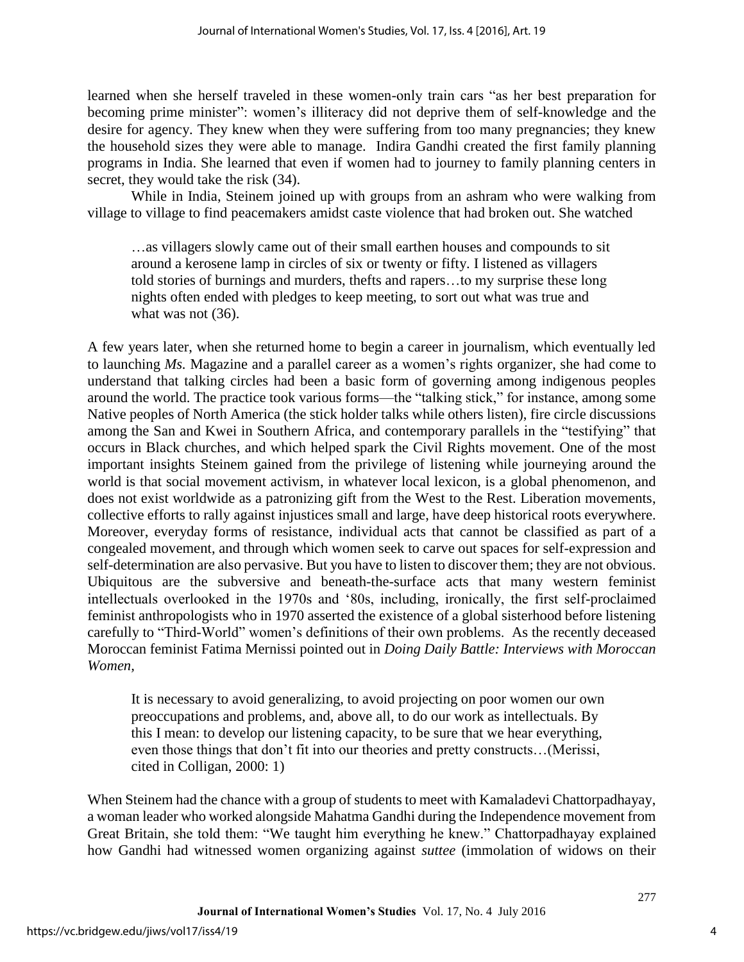learned when she herself traveled in these women-only train cars "as her best preparation for becoming prime minister": women's illiteracy did not deprive them of self-knowledge and the desire for agency. They knew when they were suffering from too many pregnancies; they knew the household sizes they were able to manage. Indira Gandhi created the first family planning programs in India. She learned that even if women had to journey to family planning centers in secret, they would take the risk (34).

While in India, Steinem joined up with groups from an ashram who were walking from village to village to find peacemakers amidst caste violence that had broken out. She watched

…as villagers slowly came out of their small earthen houses and compounds to sit around a kerosene lamp in circles of six or twenty or fifty. I listened as villagers told stories of burnings and murders, thefts and rapers…to my surprise these long nights often ended with pledges to keep meeting, to sort out what was true and what was not  $(36)$ .

A few years later, when she returned home to begin a career in journalism, which eventually led to launching *Ms.* Magazine and a parallel career as a women's rights organizer, she had come to understand that talking circles had been a basic form of governing among indigenous peoples around the world. The practice took various forms—the "talking stick," for instance, among some Native peoples of North America (the stick holder talks while others listen), fire circle discussions among the San and Kwei in Southern Africa, and contemporary parallels in the "testifying" that occurs in Black churches, and which helped spark the Civil Rights movement. One of the most important insights Steinem gained from the privilege of listening while journeying around the world is that social movement activism, in whatever local lexicon, is a global phenomenon, and does not exist worldwide as a patronizing gift from the West to the Rest. Liberation movements, collective efforts to rally against injustices small and large, have deep historical roots everywhere. Moreover, everyday forms of resistance, individual acts that cannot be classified as part of a congealed movement, and through which women seek to carve out spaces for self-expression and self-determination are also pervasive. But you have to listen to discover them; they are not obvious. Ubiquitous are the subversive and beneath-the-surface acts that many western feminist intellectuals overlooked in the 1970s and '80s, including, ironically, the first self-proclaimed feminist anthropologists who in 1970 asserted the existence of a global sisterhood before listening carefully to "Third-World" women's definitions of their own problems. As the recently deceased Moroccan feminist Fatima Mernissi pointed out in *Doing Daily Battle: Interviews with Moroccan Women,*

It is necessary to avoid generalizing, to avoid projecting on poor women our own preoccupations and problems, and, above all, to do our work as intellectuals. By this I mean: to develop our listening capacity, to be sure that we hear everything, even those things that don't fit into our theories and pretty constructs…(Merissi, cited in Colligan, 2000: 1)

When Steinem had the chance with a group of students to meet with Kamaladevi Chattorpadhayay, a woman leader who worked alongside Mahatma Gandhi during the Independence movement from Great Britain, she told them: "We taught him everything he knew." Chattorpadhayay explained how Gandhi had witnessed women organizing against *suttee* (immolation of widows on their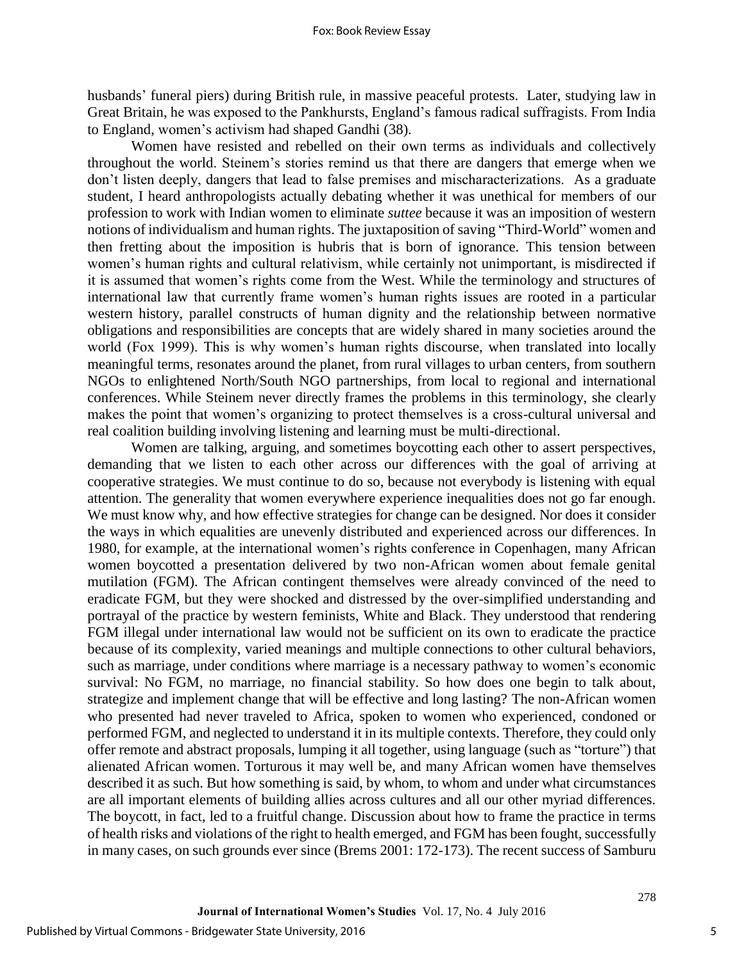husbands' funeral piers) during British rule, in massive peaceful protests. Later, studying law in Great Britain, he was exposed to the Pankhursts, England's famous radical suffragists. From India to England, women's activism had shaped Gandhi (38).

Women have resisted and rebelled on their own terms as individuals and collectively throughout the world. Steinem's stories remind us that there are dangers that emerge when we don't listen deeply, dangers that lead to false premises and mischaracterizations. As a graduate student, I heard anthropologists actually debating whether it was unethical for members of our profession to work with Indian women to eliminate *suttee* because it was an imposition of western notions of individualism and human rights. The juxtaposition of saving "Third-World" women and then fretting about the imposition is hubris that is born of ignorance. This tension between women's human rights and cultural relativism, while certainly not unimportant, is misdirected if it is assumed that women's rights come from the West. While the terminology and structures of international law that currently frame women's human rights issues are rooted in a particular western history, parallel constructs of human dignity and the relationship between normative obligations and responsibilities are concepts that are widely shared in many societies around the world (Fox 1999). This is why women's human rights discourse, when translated into locally meaningful terms, resonates around the planet, from rural villages to urban centers, from southern NGOs to enlightened North/South NGO partnerships, from local to regional and international conferences. While Steinem never directly frames the problems in this terminology, she clearly makes the point that women's organizing to protect themselves is a cross-cultural universal and real coalition building involving listening and learning must be multi-directional.

Women are talking, arguing, and sometimes boycotting each other to assert perspectives, demanding that we listen to each other across our differences with the goal of arriving at cooperative strategies. We must continue to do so, because not everybody is listening with equal attention. The generality that women everywhere experience inequalities does not go far enough. We must know why, and how effective strategies for change can be designed. Nor does it consider the ways in which equalities are unevenly distributed and experienced across our differences. In 1980, for example, at the international women's rights conference in Copenhagen, many African women boycotted a presentation delivered by two non-African women about female genital mutilation (FGM). The African contingent themselves were already convinced of the need to eradicate FGM, but they were shocked and distressed by the over-simplified understanding and portrayal of the practice by western feminists, White and Black. They understood that rendering FGM illegal under international law would not be sufficient on its own to eradicate the practice because of its complexity, varied meanings and multiple connections to other cultural behaviors, such as marriage, under conditions where marriage is a necessary pathway to women's economic survival: No FGM, no marriage, no financial stability. So how does one begin to talk about, strategize and implement change that will be effective and long lasting? The non-African women who presented had never traveled to Africa, spoken to women who experienced, condoned or performed FGM, and neglected to understand it in its multiple contexts. Therefore, they could only offer remote and abstract proposals, lumping it all together, using language (such as "torture") that alienated African women. Torturous it may well be, and many African women have themselves described it as such. But how something is said, by whom, to whom and under what circumstances are all important elements of building allies across cultures and all our other myriad differences. The boycott, in fact, led to a fruitful change. Discussion about how to frame the practice in terms of health risks and violations of the right to health emerged, and FGM has been fought, successfully in many cases, on such grounds ever since (Brems 2001: 172-173). The recent success of Samburu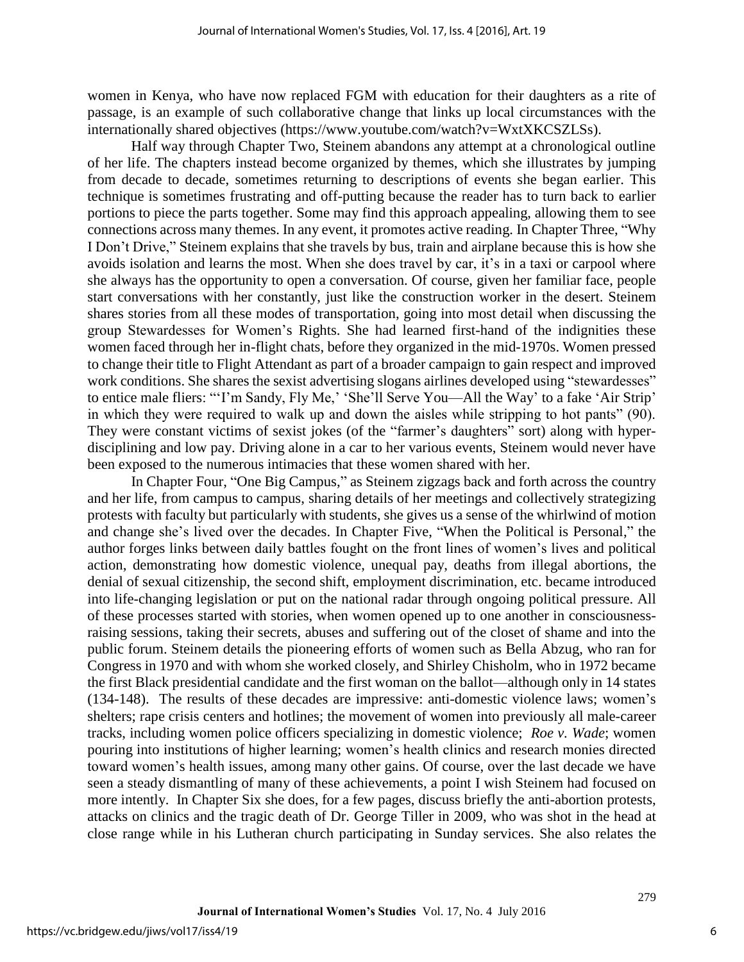women in Kenya, who have now replaced FGM with education for their daughters as a rite of passage, is an example of such collaborative change that links up local circumstances with the internationally shared objectives (https://www.youtube.com/watch?v=WxtXKCSZLSs).

 Half way through Chapter Two, Steinem abandons any attempt at a chronological outline of her life. The chapters instead become organized by themes, which she illustrates by jumping from decade to decade, sometimes returning to descriptions of events she began earlier. This technique is sometimes frustrating and off-putting because the reader has to turn back to earlier portions to piece the parts together. Some may find this approach appealing, allowing them to see connections across many themes. In any event, it promotes active reading. In Chapter Three, "Why I Don't Drive," Steinem explains that she travels by bus, train and airplane because this is how she avoids isolation and learns the most. When she does travel by car, it's in a taxi or carpool where she always has the opportunity to open a conversation. Of course, given her familiar face, people start conversations with her constantly, just like the construction worker in the desert. Steinem shares stories from all these modes of transportation, going into most detail when discussing the group Stewardesses for Women's Rights. She had learned first-hand of the indignities these women faced through her in-flight chats, before they organized in the mid-1970s. Women pressed to change their title to Flight Attendant as part of a broader campaign to gain respect and improved work conditions. She shares the sexist advertising slogans airlines developed using "stewardesses" to entice male fliers: "'I'm Sandy, Fly Me,' 'She'll Serve You—All the Way' to a fake 'Air Strip' in which they were required to walk up and down the aisles while stripping to hot pants" (90). They were constant victims of sexist jokes (of the "farmer's daughters" sort) along with hyperdisciplining and low pay. Driving alone in a car to her various events, Steinem would never have been exposed to the numerous intimacies that these women shared with her.

In Chapter Four, "One Big Campus," as Steinem zigzags back and forth across the country and her life, from campus to campus, sharing details of her meetings and collectively strategizing protests with faculty but particularly with students, she gives us a sense of the whirlwind of motion and change she's lived over the decades. In Chapter Five, "When the Political is Personal," the author forges links between daily battles fought on the front lines of women's lives and political action, demonstrating how domestic violence, unequal pay, deaths from illegal abortions, the denial of sexual citizenship, the second shift, employment discrimination, etc. became introduced into life-changing legislation or put on the national radar through ongoing political pressure. All of these processes started with stories, when women opened up to one another in consciousnessraising sessions, taking their secrets, abuses and suffering out of the closet of shame and into the public forum. Steinem details the pioneering efforts of women such as Bella Abzug, who ran for Congress in 1970 and with whom she worked closely, and Shirley Chisholm, who in 1972 became the first Black presidential candidate and the first woman on the ballot—although only in 14 states (134-148). The results of these decades are impressive: anti-domestic violence laws; women's shelters; rape crisis centers and hotlines; the movement of women into previously all male-career tracks, including women police officers specializing in domestic violence; *Roe v. Wade*; women pouring into institutions of higher learning; women's health clinics and research monies directed toward women's health issues, among many other gains. Of course, over the last decade we have seen a steady dismantling of many of these achievements, a point I wish Steinem had focused on more intently. In Chapter Six she does, for a few pages, discuss briefly the anti-abortion protests, attacks on clinics and the tragic death of Dr. George Tiller in 2009, who was shot in the head at close range while in his Lutheran church participating in Sunday services. She also relates the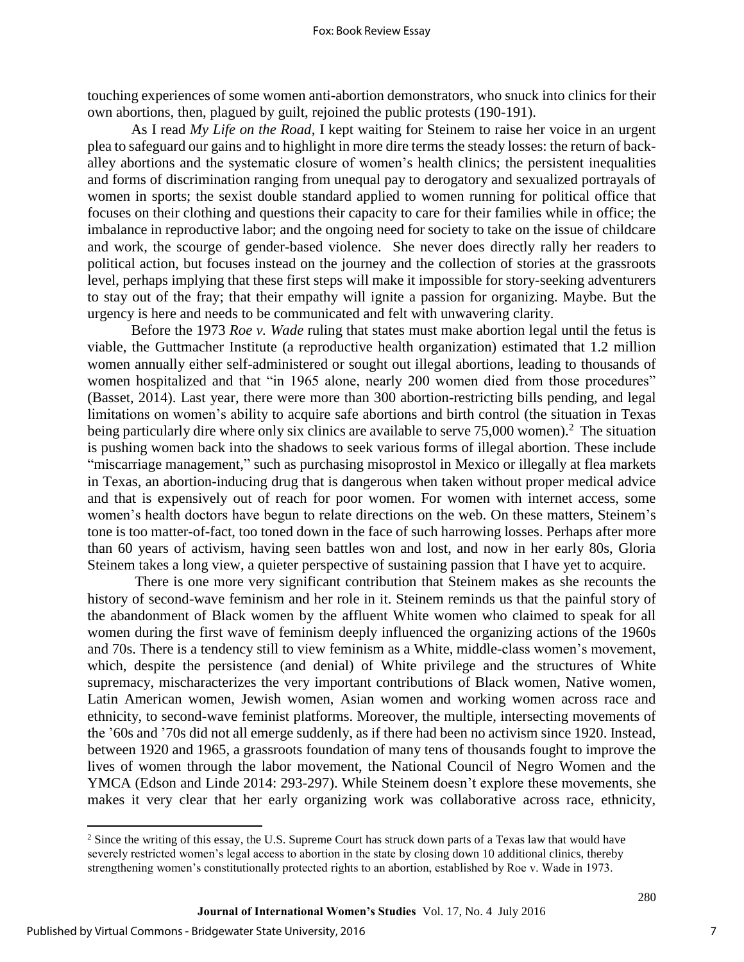touching experiences of some women anti-abortion demonstrators, who snuck into clinics for their own abortions, then, plagued by guilt, rejoined the public protests (190-191).

As I read *My Life on the Road*, I kept waiting for Steinem to raise her voice in an urgent plea to safeguard our gains and to highlight in more dire terms the steady losses: the return of backalley abortions and the systematic closure of women's health clinics; the persistent inequalities and forms of discrimination ranging from unequal pay to derogatory and sexualized portrayals of women in sports; the sexist double standard applied to women running for political office that focuses on their clothing and questions their capacity to care for their families while in office; the imbalance in reproductive labor; and the ongoing need for society to take on the issue of childcare and work, the scourge of gender-based violence. She never does directly rally her readers to political action, but focuses instead on the journey and the collection of stories at the grassroots level, perhaps implying that these first steps will make it impossible for story-seeking adventurers to stay out of the fray; that their empathy will ignite a passion for organizing. Maybe. But the urgency is here and needs to be communicated and felt with unwavering clarity.

Before the 1973 *Roe v. Wade* ruling that states must make abortion legal until the fetus is viable, the Guttmacher Institute (a reproductive health organization) estimated that 1.2 million women annually either self-administered or sought out illegal abortions, leading to thousands of women hospitalized and that "in 1965 alone, nearly 200 women died from those procedures" (Basset, 2014). Last year, there were more than 300 abortion-restricting bills pending, and legal limitations on women's ability to acquire safe abortions and birth control (the situation in Texas being particularly dire where only six clinics are available to serve  $75,000$  women).<sup>2</sup> The situation is pushing women back into the shadows to seek various forms of illegal abortion. These include "miscarriage management," such as purchasing misoprostol in Mexico or illegally at flea markets in Texas, an abortion-inducing drug that is dangerous when taken without proper medical advice and that is expensively out of reach for poor women. For women with internet access, some women's health doctors have begun to relate directions on the web. On these matters, Steinem's tone is too matter-of-fact, too toned down in the face of such harrowing losses. Perhaps after more than 60 years of activism, having seen battles won and lost, and now in her early 80s, Gloria Steinem takes a long view, a quieter perspective of sustaining passion that I have yet to acquire.

There is one more very significant contribution that Steinem makes as she recounts the history of second-wave feminism and her role in it. Steinem reminds us that the painful story of the abandonment of Black women by the affluent White women who claimed to speak for all women during the first wave of feminism deeply influenced the organizing actions of the 1960s and 70s. There is a tendency still to view feminism as a White, middle-class women's movement, which, despite the persistence (and denial) of White privilege and the structures of White supremacy, mischaracterizes the very important contributions of Black women, Native women, Latin American women, Jewish women, Asian women and working women across race and ethnicity, to second-wave feminist platforms. Moreover, the multiple, intersecting movements of the '60s and '70s did not all emerge suddenly, as if there had been no activism since 1920. Instead, between 1920 and 1965, a grassroots foundation of many tens of thousands fought to improve the lives of women through the labor movement, the National Council of Negro Women and the YMCA (Edson and Linde 2014: 293-297). While Steinem doesn't explore these movements, she makes it very clear that her early organizing work was collaborative across race, ethnicity,

 $\overline{\phantom{a}}$ 

<sup>&</sup>lt;sup>2</sup> Since the writing of this essay, the U.S. Supreme Court has struck down parts of a Texas law that would have severely restricted women's legal access to abortion in the state by closing down 10 additional clinics, thereby strengthening women's constitutionally protected rights to an abortion, established by Roe v. Wade in 1973.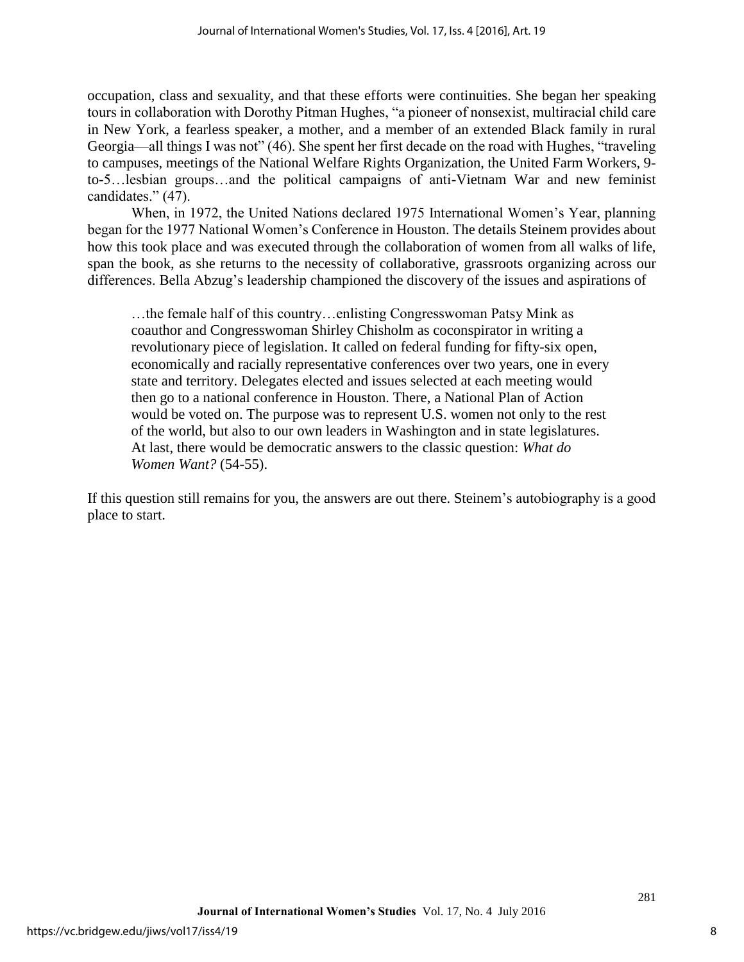occupation, class and sexuality, and that these efforts were continuities. She began her speaking tours in collaboration with Dorothy Pitman Hughes, "a pioneer of nonsexist, multiracial child care in New York, a fearless speaker, a mother, and a member of an extended Black family in rural Georgia—all things I was not" (46). She spent her first decade on the road with Hughes, "traveling to campuses, meetings of the National Welfare Rights Organization, the United Farm Workers, 9 to-5…lesbian groups…and the political campaigns of anti-Vietnam War and new feminist candidates." (47).

When, in 1972, the United Nations declared 1975 International Women's Year, planning began for the 1977 National Women's Conference in Houston. The details Steinem provides about how this took place and was executed through the collaboration of women from all walks of life, span the book, as she returns to the necessity of collaborative, grassroots organizing across our differences. Bella Abzug's leadership championed the discovery of the issues and aspirations of

…the female half of this country…enlisting Congresswoman Patsy Mink as coauthor and Congresswoman Shirley Chisholm as coconspirator in writing a revolutionary piece of legislation. It called on federal funding for fifty-six open, economically and racially representative conferences over two years, one in every state and territory. Delegates elected and issues selected at each meeting would then go to a national conference in Houston. There, a National Plan of Action would be voted on. The purpose was to represent U.S. women not only to the rest of the world, but also to our own leaders in Washington and in state legislatures. At last, there would be democratic answers to the classic question: *What do Women Want?* (54-55).

If this question still remains for you, the answers are out there. Steinem's autobiography is a good place to start.